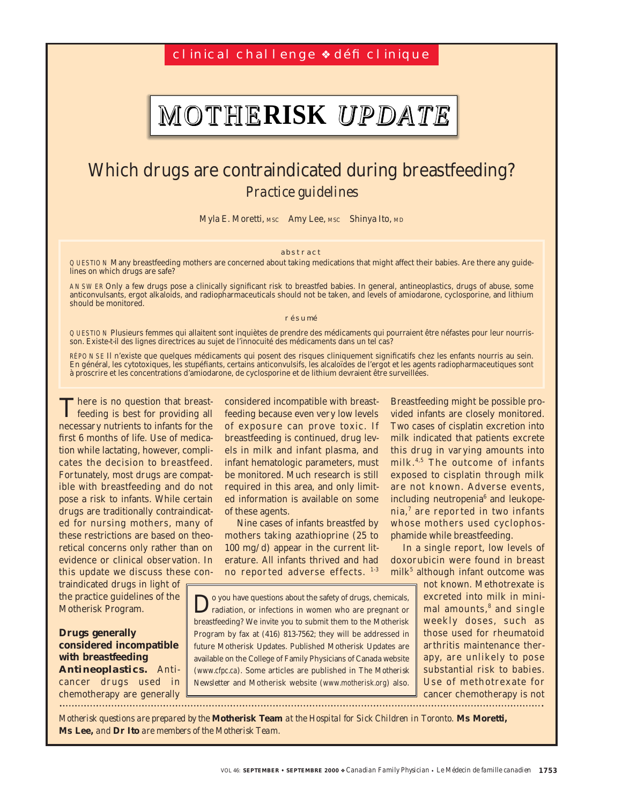cl inical challenge <sup>↓</sup> défi clinique

# MOTHE**RISK** *UPDATE*

## Which drugs are contraindicated during breastfeeding? *Practice guidelines*

Myla E. Moretti, MSC Amy Lee, MSC Shinya Ito, MD

#### abstract

QUESTION Many breastfeeding mothers are concerned about taking medications that might affect their babies. Are there any guidelines on which drugs are safe?

ANSWER Only a few drugs pose a clinically significant risk to breastfed babies. In general, antineoplastics, drugs of abuse, some anticonvulsants, ergot alkaloids, and radiopharmaceuticals should not be taken, and levels of amiodarone, cyclosporine, and lithium should be monitored.

#### résumé

QUESTION Plusieurs femmes qui allaitent sont inquiètes de prendre des médicaments qui pourraient être néfastes pour leur nourrisson. Existe-t-il des lignes directrices au sujet de l'innocuité des médicaments dans un tel cas?

RÉPONSE Il n'existe que quelques médicaments qui posent des risques cliniquement significatifs chez les enfants nourris au sein. En général, les cytotoxiques, les stupéfiants, certains anticonvulsifs, les alcaloïdes de l'ergot et les agents radiopharmaceutiques sont à proscrire et les concentrations d'amiodarone, de cyclosporine et de lithium devraient être surveillées.

There is no question that breastfeeding is best for providing all necessary nutrients to infants for the first 6 months of life. Use of medication while lactating, however, complicates the decision to breastfeed. Fortunately, most drugs are compatible with breastfeeding and do not pose a risk to infants. While certain drugs are traditionally contraindicated for nursing mothers, many of these restrictions are based on theoretical concerns only rather than on evidence or clinical observation. In this update we discuss these con-

traindicated drugs in light of the practice guidelines of the Motherisk Program.

### **Drugs generally considered incompatible with breastfeeding**

*Antineoplastics.* Anticancer drugs used in chemotherapy are generally considered incompatible with breastfeeding because even very low levels of exposure can prove toxic. If breastfeeding is continued, drug levels in milk and infant plasma, and infant hematologic parameters, must be monitored. Much research is still required in this area, and only limited information is available on some of these agents.

Nine cases of infants breastfed by mothers taking azathioprine (25 to 100 mg/d) appear in the current literature. All infants thrived and had no reported adverse effects. 1-3

o you have questions about the safety of drugs, chemicals, radiation, or infections in women who are pregnant or breastfeeding? We invite you to submit them to the Motherisk Program by fax at (416) 813-7562; they will be addressed in future Motherisk Updates. Published Motherisk Updates are available on the College of Family Physicians of Canada website (www.cfpc.ca). Some articles are published in *The Motherisk Newsletter* and Motherisk website (www.motherisk.org) also.

Breastfeeding might be possible provided infants are closely monitored. Two cases of cisplatin excretion into milk indicated that patients excrete this drug in varying amounts into milk. 4,5 The outcome of infants exposed to cisplatin through milk are not known. Adverse events, including neutropenia<sup>6</sup> and leukopenia,<sup>7</sup> are reported in two infants whose mothers used cyclophosphamide while breastfeeding.

In a single report, low levels of doxorubicin were found in breast  $milk<sup>5</sup>$  although infant outcome was

> not known. Methotrexate is excreted into milk in minimal amounts,<sup>8</sup> and single weekly doses, such as those used for rheumatoid arthritis maintenance therapy, are unlikely to pose substantial risk to babies. Use of methotrexate for cancer chemotherapy is not

*Motherisk questions are prepared by the* **Motherisk Team** *at the Hospital for Sick Children in Toronto.* **Ms Moretti, Ms Lee,** *and* **Dr Ito** *are members of the Motherisk Team.*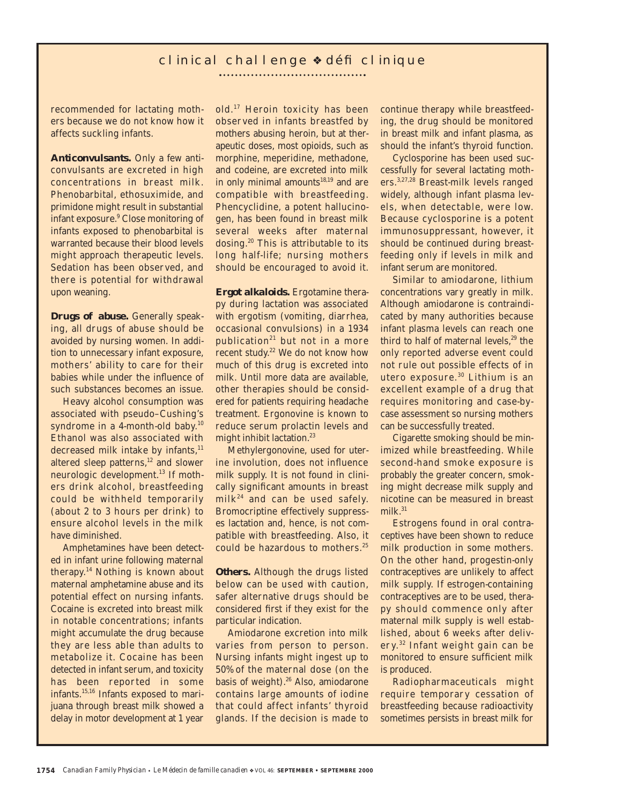## clinical challenge ❖ défi clinique

...................................

recommended for lactating mothers because we do not know how it affects suckling infants.

*Anticonvulsants.* Only a few anticonvulsants are excreted in high concentrations in breast milk. Phenobarbital, ethosuximide, and primidone might result in substantial infant exposure.9 Close monitoring of infants exposed to phenobarbital is warranted because their blood levels might approach therapeutic levels. Sedation has been observed, and there is potential for withdrawal upon weaning.

*Drugs of abuse.* Generally speaking, all drugs of abuse should be avoided by nursing women. In addition to unnecessary infant exposure, mothers' ability to care for their babies while under the influence of such substances becomes an issue.

Heavy alcohol consumption was associated with pseudo–Cushing's syndrome in a 4-month-old baby.<sup>10</sup> Ethanol was also associated with decreased milk intake by infants,<sup>11</sup> altered sleep patterns,<sup>12</sup> and slower neurologic development.<sup>13</sup> If mothers drink alcohol, breastfeeding could be withheld temporarily (about 2 to 3 hours per drink) to ensure alcohol levels in the milk have diminished.

Amphetamines have been detected in infant urine following maternal therapy.14 Nothing is known about maternal amphetamine abuse and its potential effect on nursing infants. Cocaine is excreted into breast milk in notable concentrations; infants might accumulate the drug because they are less able than adults to metabolize it. Cocaine has been detected in infant serum, and toxicity has been reported in some infants.15,16 Infants exposed to marijuana through breast milk showed a delay in motor development at 1 year

old.17 Heroin toxicity has been observed in infants breastfed by mothers abusing heroin, but at therapeutic doses, most opioids, such as morphine, meperidine, methadone, and codeine, are excreted into milk in only minimal amounts $18,19$  and are compatible with breastfeeding. Phencyclidine, a potent hallucinogen, has been found in breast milk several weeks after maternal dosing.<sup>20</sup> This is attributable to its long half-life; nursing mothers should be encouraged to avoid it.

*Ergot alkaloids.* Ergotamine therapy during lactation was associated with ergotism (vomiting, diarrhea, occasional convulsions) in a 1934 publication $21$  but not in a more recent study.<sup>22</sup> We do not know how much of this drug is excreted into milk. Until more data are available, other therapies should be considered for patients requiring headache treatment. Ergonovine is known to reduce serum prolactin levels and might inhibit lactation.<sup>23</sup>

Methylergonovine, used for uterine involution, does not influence milk supply. It is not found in clinically significant amounts in breast  $milk<sup>24</sup>$  and can be used safely. Bromocriptine effectively suppresses lactation and, hence, is not compatible with breastfeeding. Also, it could be hazardous to mothers.<sup>25</sup>

**Others.** Although the drugs listed below can be used with caution, safer alternative drugs should be considered first if they exist for the particular indication.

Amiodarone excretion into milk varies from person to person. Nursing infants might ingest up to 50% of the maternal dose (on the basis of weight).<sup>26</sup> Also, amiodarone contains large amounts of iodine that could affect infants' thyroid glands. If the decision is made to

continue therapy while breastfeeding, the drug should be monitored in breast milk and infant plasma, as should the infant's thyroid function.

Cyclosporine has been used successfully for several lactating mothers.3,27,28 Breast-milk levels ranged widely, although infant plasma levels, when detectable, were low. Because cyclosporine is a potent immunosuppressant, however, it should be continued during breastfeeding only if levels in milk and infant serum are monitored.

Similar to amiodarone, lithium concentrations vary greatly in milk. Although amiodarone is contraindicated by many authorities because infant plasma levels can reach one third to half of maternal levels, $29$  the only reported adverse event could not rule out possible effects of in utero exposure.<sup>30</sup> Lithium is an excellent example of a drug that requires monitoring and case-bycase assessment so nursing mothers can be successfully treated.

Cigarette smoking should be minimized while breastfeeding. While second-hand smoke exposure is probably the greater concern, smoking might decrease milk supply and nicotine can be measured in breast milk. $31$ 

Estrogens found in oral contraceptives have been shown to reduce milk production in some mothers. On the other hand, progestin-only contraceptives are unlikely to affect milk supply. If estrogen-containing contraceptives are to be used, therapy should commence only after maternal milk supply is well established, about 6 weeks after deliver y. <sup>32</sup> Infant weight gain can be monitored to ensure sufficient milk is produced.

Radiopharmaceuticals might require temporary cessation of breastfeeding because radioactivity sometimes persists in breast milk for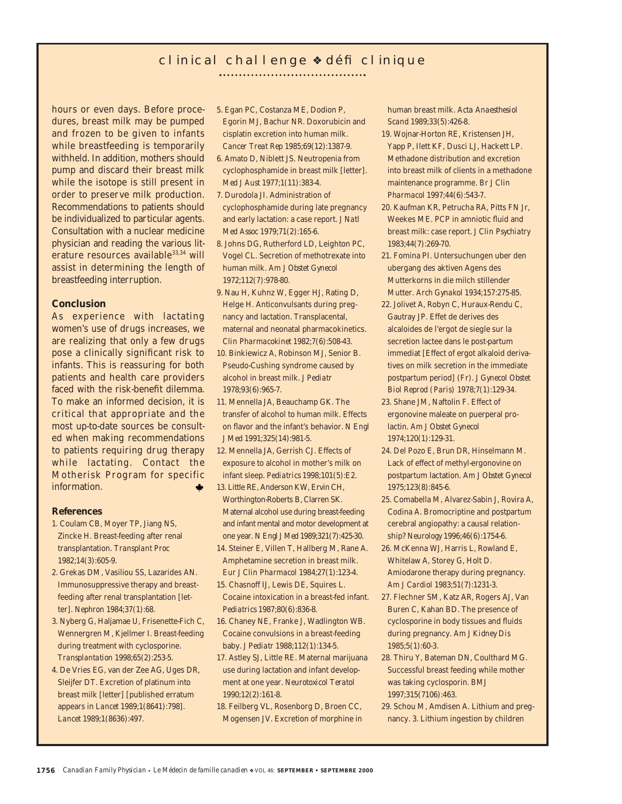## clinical challenge ❖ défi clinique

hours or even days. Before procedures, breast milk may be pumped and frozen to be given to infants while breastfeeding is temporarily withheld. In addition, mothers should pump and discard their breast milk while the isotope is still present in order to preserve milk production. Recommendations to patients should be individualized to particular agents. Consultation with a nuclear medicine physician and reading the various literature resources available<sup>33,34</sup> will assist in determining the length of breastfeeding interruption.

#### **Conclusion**

As experience with lactating women's use of drugs increases, we are realizing that only a few drugs pose a clinically significant risk to infants. This is reassuring for both patients and health care providers faced with the risk-benefit dilemma. To make an informed decision, it is critical that appropriate and the most up-to-date sources be consulted when making recommendations to patients requiring drug therapy while lactating. Contact the Motherisk Program for specific information.

#### **References**

- 1. Coulam CB, Moyer TP, Jiang NS, Zincke H. Breast-feeding after renal transplantation. *Transplant Proc* 1982;14(3):605-9.
- 2. Grekas DM, Vasiliou SS, Lazarides AN. Immunosuppressive therapy and breastfeeding after renal transplantation [letter]. *Nephron* 1984;37(1):68.
- 3. Nyberg G, Haljamae U, Frisenette-Fich C, Wennergren M, Kjellmer I. Breast-feeding during treatment with cyclosporine. *Transplantation* 1998;65(2):253-5.
- 4. De Vries EG, van der Zee AG, Uges DR, Sleijfer DT. Excretion of platinum into breast milk [letter] [published erratum appears in *Lancet* 1989;1(8641):798]. *Lancet* 1989;1(8636):497.
- 5. Egan PC, Costanza ME, Dodion P, Egorin MJ, Bachur NR. Doxorubicin and cisplatin excretion into human milk. *Cancer Treat Rep* 1985;69(12):1387-9.
- 6. Amato D, Niblett JS. Neutropenia from cyclophosphamide in breast milk [letter]. *Med J Aust* 1977;1(11):383-4.
- 7. Durodola JI. Administration of cyclophosphamide during late pregnancy and early lactation: a case report. *J Natl Med Assoc* 1979;71(2):165-6.
- 8. Johns DG, Rutherford LD, Leighton PC, Vogel CL. Secretion of methotrexate into human milk. *Am J Obstet Gynecol* 1972;112(7):978-80.
- 9. Nau H, Kuhnz W, Egger HJ, Rating D, Helge H. Anticonvulsants during pregnancy and lactation. Transplacental, maternal and neonatal pharmacokinetics. *Clin Pharmacokinet* 1982;7(6):508-43.
- 10. Binkiewicz A, Robinson MJ, Senior B. Pseudo-Cushing syndrome caused by alcohol in breast milk. *J Pediatr* 1978;93(6):965-7.
- 11. Mennella JA, Beauchamp GK. The transfer of alcohol to human milk. Effects on flavor and the infant's behavior. *N Engl J Med* 1991;325(14):981-5.
- 12. Mennella JA, Gerrish CJ. Effects of exposure to alcohol in mother's milk on infant sleep. *Pediatrics* 1998;101(5):E2.
- 13. Little RE, Anderson KW, Ervin CH, Worthington-Roberts B, Clarren SK. Maternal alcohol use during breast-feeding and infant mental and motor development at one year. *N Engl J Med* 1989;321(7):425-30.
- 14. Steiner E, Villen T, Hallberg M, Rane A. Amphetamine secretion in breast milk. *Eur J Clin Pharmacol* 1984;27(1):123-4. 15. Chasnoff IJ, Lewis DE, Squires L.
- Cocaine intoxication in a breast-fed infant. *Pediatrics* 1987;80(6):836-8.
- 16. Chaney NE, Franke J, Wadlington WB. Cocaine convulsions in a breast-feeding baby. *J Pediatr* 1988;112(1):134-5.
- 17. Astley SJ, Little RE. Maternal marijuana use during lactation and infant development at one year. *Neurotoxicol Teratol* 1990;12(2):161-8.
- 18. Feilberg VL, Rosenborg D, Broen CC, Mogensen JV. Excretion of morphine in

human breast milk. *Acta Anaesthesiol Scand* 1989;33(5):426-8.

- 19. Wojnar-Horton RE, Kristensen JH, Yapp P, Ilett KF, Dusci LJ, Hackett LP. Methadone distribution and excretion into breast milk of clients in a methadone maintenance programme. *Br J Clin Pharmacol* 1997;44(6):543-7.
- 20. Kaufman KR, Petrucha RA, Pitts FN Jr, Weekes ME. PCP in amniotic fluid and breast milk: case report. *J Clin Psychiatry* 1983;44(7):269-70.
- 21. Fomina PI. Untersuchungen uber den ubergang des aktiven Agens des Mutterkorns in die milch stillender Mutter. *Arch Gynakol* 1934;157:275-85.
- 22. Jolivet A, Robyn C, Huraux-Rendu C, Gautray JP. Effet de derives des alcaloides de l'ergot de siegle sur la secretion lactee dans le post-partum immediat [Effect of ergot alkaloid derivatives on milk secretion in the immediate postpartum period] (Fr). *J Gynecol Obstet Biol Reprod (Paris)* 1978;7(1):129-34.
- 23. Shane JM, Naftolin F. Effect of ergonovine maleate on puerperal prolactin. *Am J Obstet Gynecol* 1974;120(1):129-31.
- 24. Del Pozo E, Brun DR, Hinselmann M. Lack of effect of methyl-ergonovine on postpartum lactation. *Am J Obstet Gynecol* 1975;123(8):845-6.
- 25. Comabella M, Alvarez-Sabin J, Rovira A, Codina A. Bromocriptine and postpartum cerebral angiopathy: a causal relationship? *Neurology* 1996;46(6):1754-6.
- 26. McKenna WJ, Harris L, Rowland E, Whitelaw A, Storey G, Holt D. Amiodarone therapy during pregnancy. *Am J Cardiol* 1983;51(7):1231-3.
- 27. Flechner SM, Katz AR, Rogers AJ, Van Buren C, Kahan BD. The presence of cyclosporine in body tissues and fluids during pregnancy. *Am J Kidney Dis* 1985;5(1):60-3.
- 28. Thiru Y, Bateman DN, Coulthard MG. Successful breast feeding while mother was taking cyclosporin. *BMJ* 1997;315(7106):463.
- 29. Schou M, Amdisen A. Lithium and pregnancy. 3. Lithium ingestion by children